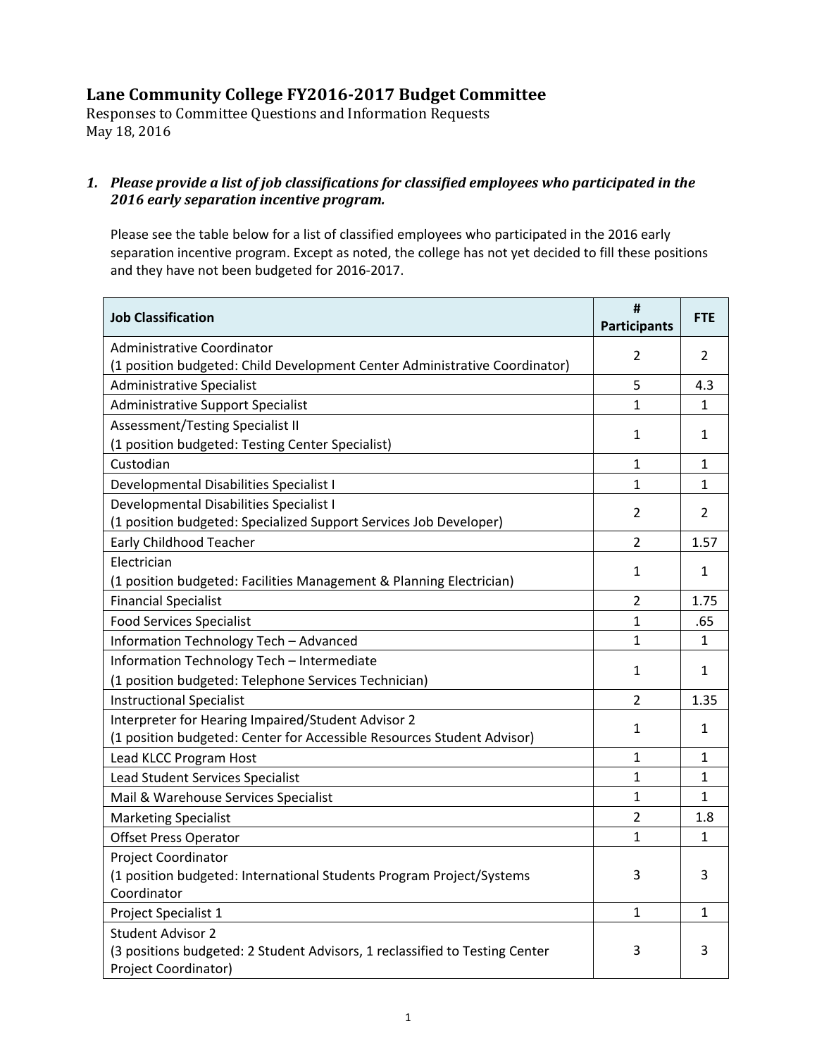# **Lane Community College FY2016‐2017 Budget Committee**

Responses to Committee Questions and Information Requests May 18, 2016

### *1. Please provide a list of job classifications for classified employees who participated in the 2016 early separation incentive program.*

Please see the table below for a list of classified employees who participated in the 2016 early separation incentive program. Except as noted, the college has not yet decided to fill these positions and they have not been budgeted for 2016‐2017.

| <b>Job Classification</b>                                                                                                    | #<br><b>Participants</b> | <b>FTE</b>     |
|------------------------------------------------------------------------------------------------------------------------------|--------------------------|----------------|
| Administrative Coordinator<br>(1 position budgeted: Child Development Center Administrative Coordinator)                     | $\overline{2}$           | $\overline{2}$ |
| <b>Administrative Specialist</b>                                                                                             | 5                        | 4.3            |
| <b>Administrative Support Specialist</b>                                                                                     | $\mathbf{1}$             | 1              |
| Assessment/Testing Specialist II                                                                                             | 1                        | 1              |
| (1 position budgeted: Testing Center Specialist)                                                                             |                          |                |
| Custodian                                                                                                                    | $\mathbf{1}$             | $\mathbf{1}$   |
| Developmental Disabilities Specialist I                                                                                      | 1                        | 1              |
| Developmental Disabilities Specialist I                                                                                      | $\overline{2}$           | 2              |
| (1 position budgeted: Specialized Support Services Job Developer)                                                            |                          |                |
| <b>Early Childhood Teacher</b>                                                                                               | $\overline{2}$           | 1.57           |
| Electrician                                                                                                                  | $\mathbf{1}$             | $\mathbf{1}$   |
| (1 position budgeted: Facilities Management & Planning Electrician)                                                          |                          |                |
| <b>Financial Specialist</b>                                                                                                  | $\overline{2}$           | 1.75           |
| <b>Food Services Specialist</b>                                                                                              | $\mathbf{1}$             | .65            |
| Information Technology Tech - Advanced                                                                                       | $\mathbf{1}$             | $\mathbf{1}$   |
| Information Technology Tech - Intermediate                                                                                   |                          |                |
| (1 position budgeted: Telephone Services Technician)                                                                         | 1                        | 1              |
| <b>Instructional Specialist</b>                                                                                              | $\overline{2}$           | 1.35           |
| Interpreter for Hearing Impaired/Student Advisor 2<br>(1 position budgeted: Center for Accessible Resources Student Advisor) | $\mathbf{1}$             | $\mathbf{1}$   |
| Lead KLCC Program Host                                                                                                       | $\mathbf{1}$             | $\mathbf{1}$   |
| Lead Student Services Specialist                                                                                             | 1                        | 1              |
| Mail & Warehouse Services Specialist                                                                                         | $\mathbf{1}$             | $\mathbf{1}$   |
| <b>Marketing Specialist</b>                                                                                                  | $\overline{2}$           | 1.8            |
| <b>Offset Press Operator</b>                                                                                                 | $\mathbf{1}$             | 1              |
| Project Coordinator                                                                                                          |                          |                |
| (1 position budgeted: International Students Program Project/Systems                                                         | 3                        | 3              |
| Coordinator                                                                                                                  |                          |                |
| Project Specialist 1                                                                                                         | 1                        | 1              |
| <b>Student Advisor 2</b>                                                                                                     |                          |                |
| (3 positions budgeted: 2 Student Advisors, 1 reclassified to Testing Center<br>Project Coordinator)                          | 3                        | 3              |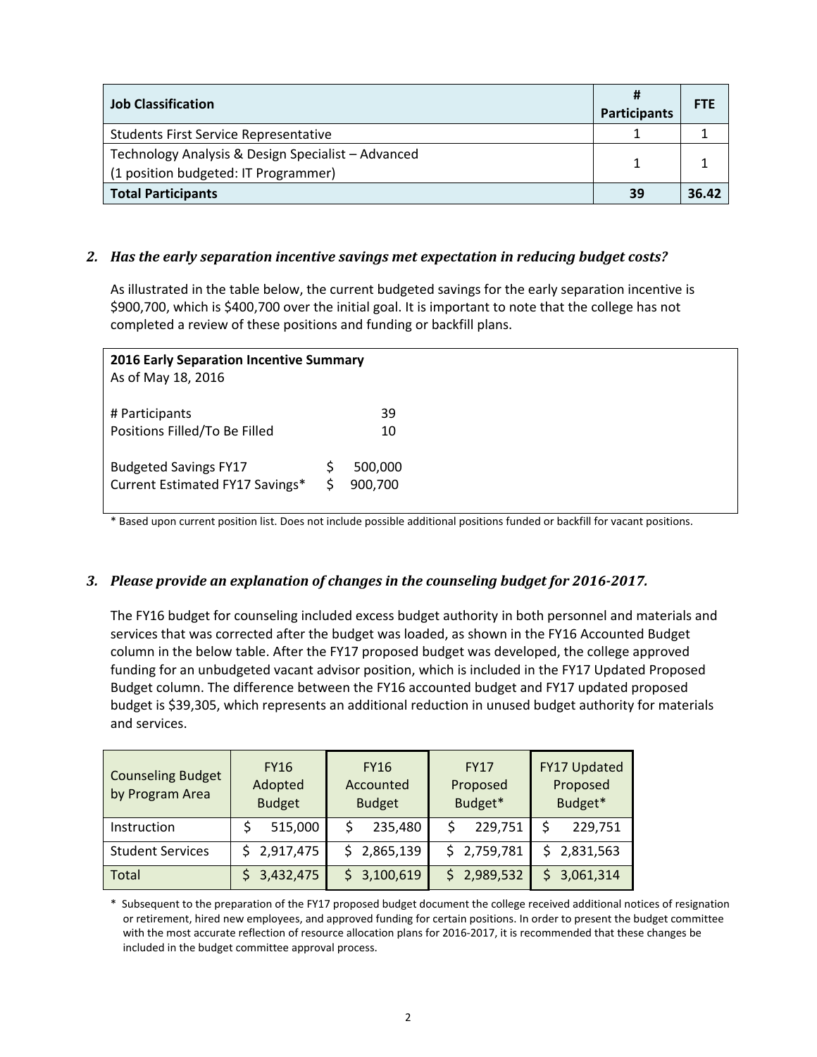| <b>Job Classification</b>                                                                  | <b>Participants</b> | <b>FTE</b> |
|--------------------------------------------------------------------------------------------|---------------------|------------|
| <b>Students First Service Representative</b>                                               |                     |            |
| Technology Analysis & Design Specialist - Advanced<br>(1 position budgeted: IT Programmer) |                     |            |
| <b>Total Participants</b>                                                                  | 39                  | 36.42      |

### *2. Has the early separation incentive savings met expectation in reducing budget costs?*

As illustrated in the table below, the current budgeted savings for the early separation incentive is \$900,700, which is \$400,700 over the initial goal. It is important to note that the college has not completed a review of these positions and funding or backfill plans.

| <b>2016 Early Separation Incentive Summary</b><br>As of May 18, 2016 |                    |  |
|----------------------------------------------------------------------|--------------------|--|
| # Participants<br>Positions Filled/To Be Filled                      | 39<br>10           |  |
| <b>Budgeted Savings FY17</b><br>Current Estimated FY17 Savings*      | 500,000<br>900,700 |  |

\* Based upon current position list. Does not include possible additional positions funded or backfill for vacant positions.

### *3. Please provide an explanation of changes in the counseling budget for 2016‐2017.*

The FY16 budget for counseling included excess budget authority in both personnel and materials and services that was corrected after the budget was loaded, as shown in the FY16 Accounted Budget column in the below table. After the FY17 proposed budget was developed, the college approved funding for an unbudgeted vacant advisor position, which is included in the FY17 Updated Proposed Budget column. The difference between the FY16 accounted budget and FY17 updated proposed budget is \$39,305, which represents an additional reduction in unused budget authority for materials and services.

| <b>Counseling Budget</b><br>by Program Area | <b>FY16</b><br>Adopted<br><b>Budget</b> | <b>FY16</b><br>Accounted<br><b>Budget</b> | <b>FY17</b><br>Proposed<br>Budget* | FY17 Updated<br>Proposed<br>Budget* |  |  |
|---------------------------------------------|-----------------------------------------|-------------------------------------------|------------------------------------|-------------------------------------|--|--|
| Instruction                                 | 515,000                                 | 235,480                                   | 229,751                            | 229,751                             |  |  |
| <b>Student Services</b>                     | 2,917,475                               | 2,865,139                                 | \$2,759,781                        | 2,831,563                           |  |  |
| <b>Total</b>                                | 3,432,475                               | \$3,100,619                               | 2,989,532                          | 3,061,314                           |  |  |

\* Subsequent to the preparation of the FY17 proposed budget document the college received additional notices of resignation or retirement, hired new employees, and approved funding for certain positions. In order to present the budget committee with the most accurate reflection of resource allocation plans for 2016-2017, it is recommended that these changes be included in the budget committee approval process.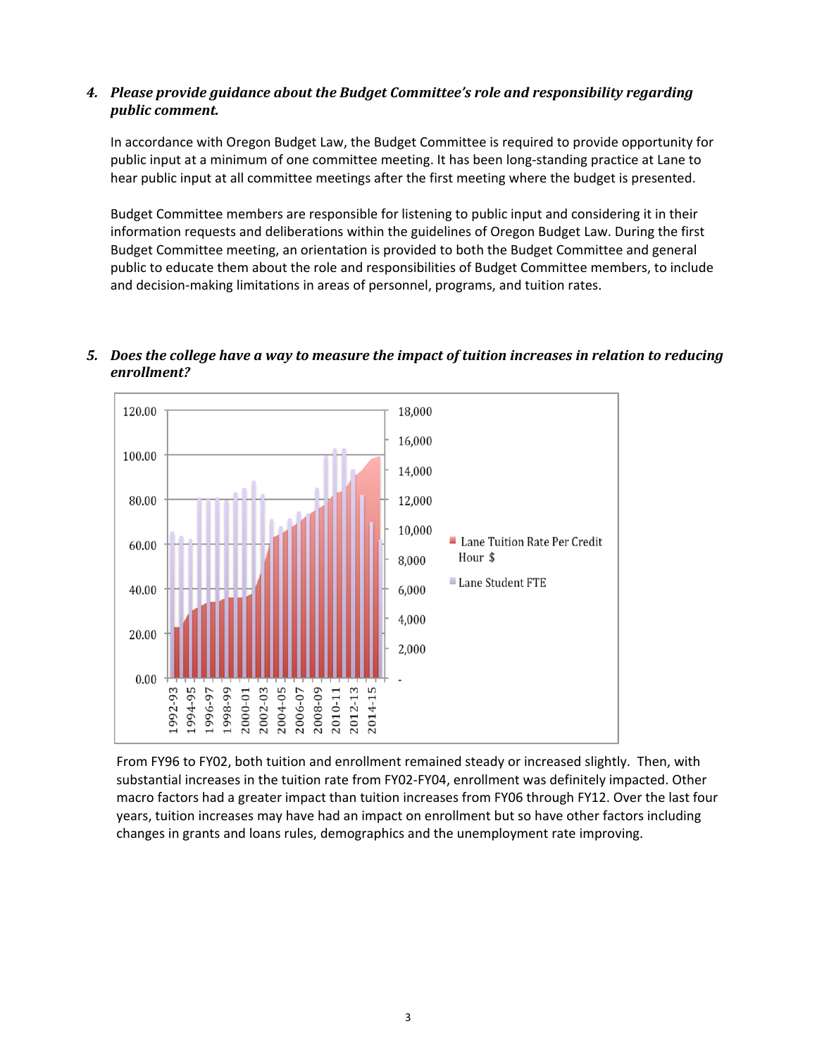## *4. Please provide guidance about the Budget Committee's role and responsibility regarding public comment.*

In accordance with Oregon Budget Law, the Budget Committee is required to provide opportunity for public input at a minimum of one committee meeting. It has been long‐standing practice at Lane to hear public input at all committee meetings after the first meeting where the budget is presented.

Budget Committee members are responsible for listening to public input and considering it in their information requests and deliberations within the guidelines of Oregon Budget Law. During the first Budget Committee meeting, an orientation is provided to both the Budget Committee and general public to educate them about the role and responsibilities of Budget Committee members, to include and decision-making limitations in areas of personnel, programs, and tuition rates.



# *5. Does the college have a way to measure the impact of tuition increases in relation to reducing enrollment?*

From FY96 to FY02, both tuition and enrollment remained steady or increased slightly. Then, with substantial increases in the tuition rate from FY02‐FY04, enrollment was definitely impacted. Other macro factors had a greater impact than tuition increases from FY06 through FY12. Over the last four years, tuition increases may have had an impact on enrollment but so have other factors including changes in grants and loans rules, demographics and the unemployment rate improving.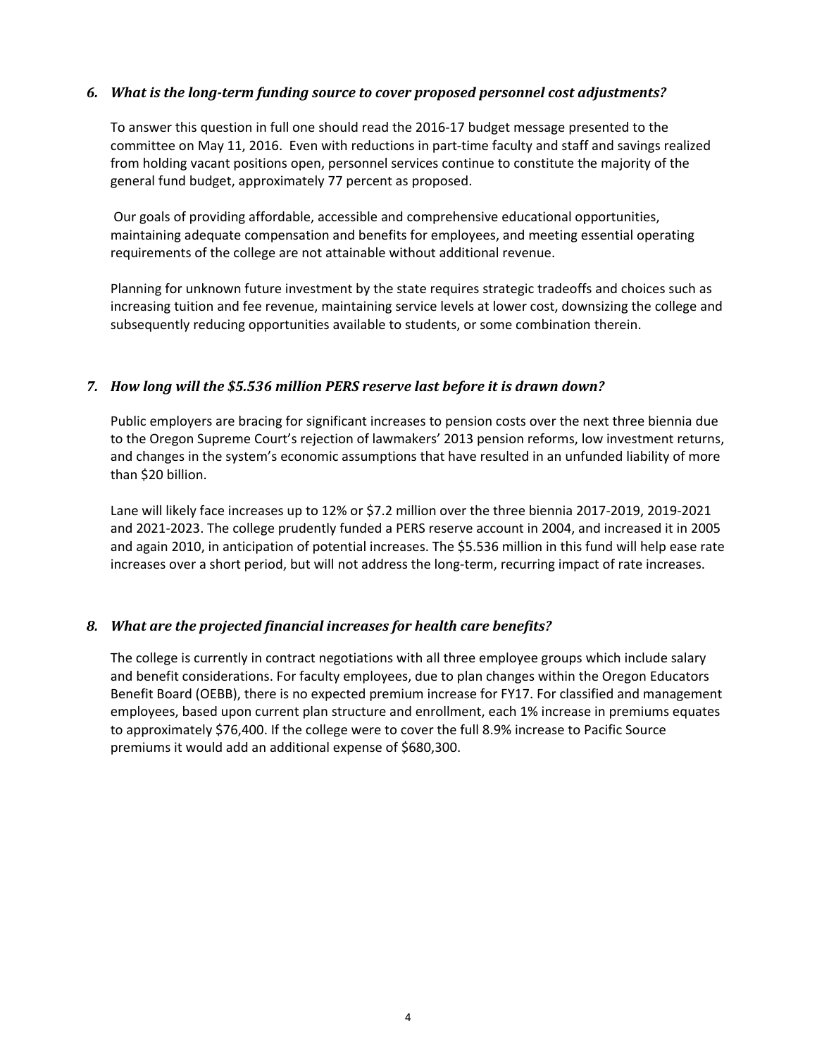### *6. What is the long‐term funding source to cover proposed personnel cost adjustments?*

To answer this question in full one should read the 2016‐17 budget message presented to the committee on May 11, 2016. Even with reductions in part-time faculty and staff and savings realized from holding vacant positions open, personnel services continue to constitute the majority of the general fund budget, approximately 77 percent as proposed.

Our goals of providing affordable, accessible and comprehensive educational opportunities, maintaining adequate compensation and benefits for employees, and meeting essential operating requirements of the college are not attainable without additional revenue.

Planning for unknown future investment by the state requires strategic tradeoffs and choices such as increasing tuition and fee revenue, maintaining service levels at lower cost, downsizing the college and subsequently reducing opportunities available to students, or some combination therein.

### *7. How long will the \$5.536 million PERS reserve last before it is drawn down?*

Public employers are bracing for significant increases to pension costs over the next three biennia due to the Oregon Supreme Court's rejection of lawmakers' 2013 pension reforms, low investment returns, and changes in the system's economic assumptions that have resulted in an unfunded liability of more than \$20 billion.

Lane will likely face increases up to 12% or \$7.2 million over the three biennia 2017‐2019, 2019‐2021 and 2021‐2023. The college prudently funded a PERS reserve account in 2004, and increased it in 2005 and again 2010, in anticipation of potential increases. The \$5.536 million in this fund will help ease rate increases over a short period, but will not address the long-term, recurring impact of rate increases.

### *8. What are the projected financial increases for health care benefits?*

The college is currently in contract negotiations with all three employee groups which include salary and benefit considerations. For faculty employees, due to plan changes within the Oregon Educators Benefit Board (OEBB), there is no expected premium increase for FY17. For classified and management employees, based upon current plan structure and enrollment, each 1% increase in premiums equates to approximately \$76,400. If the college were to cover the full 8.9% increase to Pacific Source premiums it would add an additional expense of \$680,300.